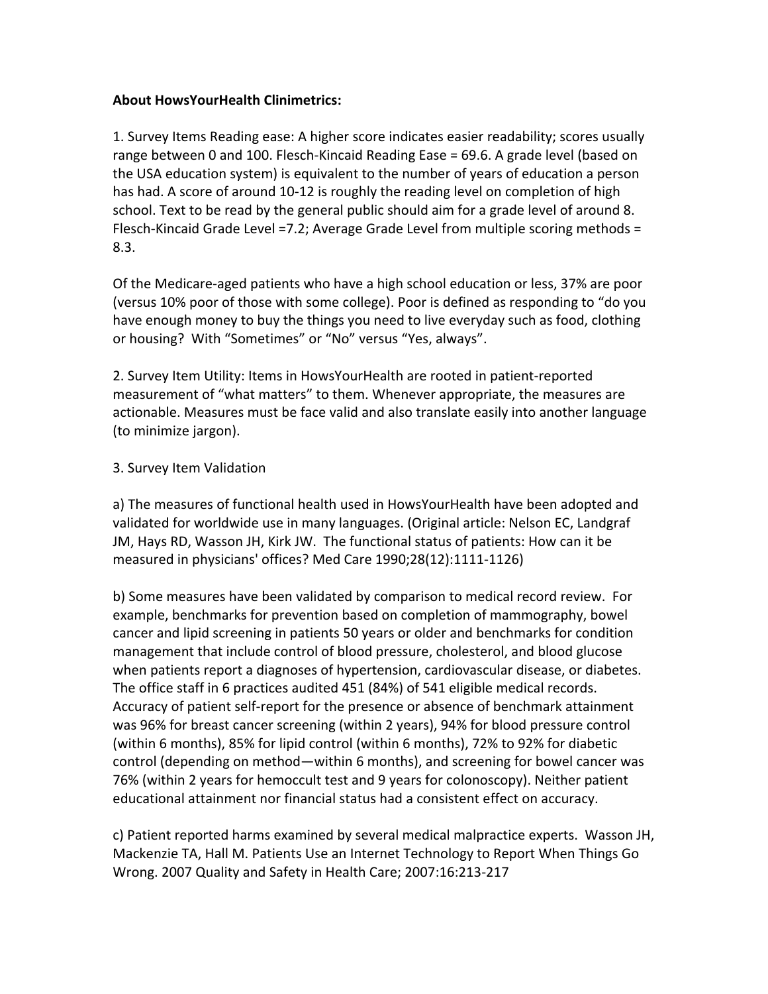## **About HowsYourHealth Clinimetrics:**

1. Survey Items Reading ease: A higher score indicates easier readability; scores usually range between 0 and 100. Flesch-Kincaid Reading Ease =  $69.6$ . A grade level (based on the USA education system) is equivalent to the number of years of education a person has had. A score of around 10-12 is roughly the reading level on completion of high school. Text to be read by the general public should aim for a grade level of around 8. Flesch-Kincaid Grade Level =7.2; Average Grade Level from multiple scoring methods = 8.3.!

Of the Medicare-aged patients who have a high school education or less, 37% are poor (versus 10% poor of those with some college). Poor is defined as responding to "do you have enough money to buy the things you need to live everyday such as food, clothing or housing? With "Sometimes" or "No" versus "Yes, always".

2. Survey Item Utility: Items in HowsYourHealth are rooted in patient-reported measurement of "what matters" to them. Whenever appropriate, the measures are actionable. Measures must be face valid and also translate easily into another language (to minimize jargon).

## 3. Survey Item Validation

a) The measures of functional health used in HowsYourHealth have been adopted and validated for worldwide use in many languages. (Original article: Nelson EC, Landgraf JM, Hays RD, Wasson JH, Kirk JW. The functional status of patients: How can it be measured in physicians' offices? Med Care 1990;28(12):1111-1126)

b) Some measures have been validated by comparison to medical record review. For example, benchmarks for prevention based on completion of mammography, bowel cancer and lipid screening in patients 50 years or older and benchmarks for condition management that include control of blood pressure, cholesterol, and blood glucose when patients report a diagnoses of hypertension, cardiovascular disease, or diabetes. The office staff in 6 practices audited 451 (84%) of 541 eligible medical records. Accuracy of patient self-report for the presence or absence of benchmark attainment was 96% for breast cancer screening (within 2 years), 94% for blood pressure control (within 6 months), 85% for lipid control (within 6 months), 72% to 92% for diabetic control (depending on method—within 6 months), and screening for bowel cancer was 76% (within 2 years for hemoccult test and 9 years for colonoscopy). Neither patient educational attainment nor financial status had a consistent effect on accuracy.

c) Patient reported harms examined by several medical malpractice experts. Wasson JH, Mackenzie TA, Hall M. Patients Use an Internet Technology to Report When Things Go Wrong. 2007 Quality and Safety in Health Care; 2007:16:213-217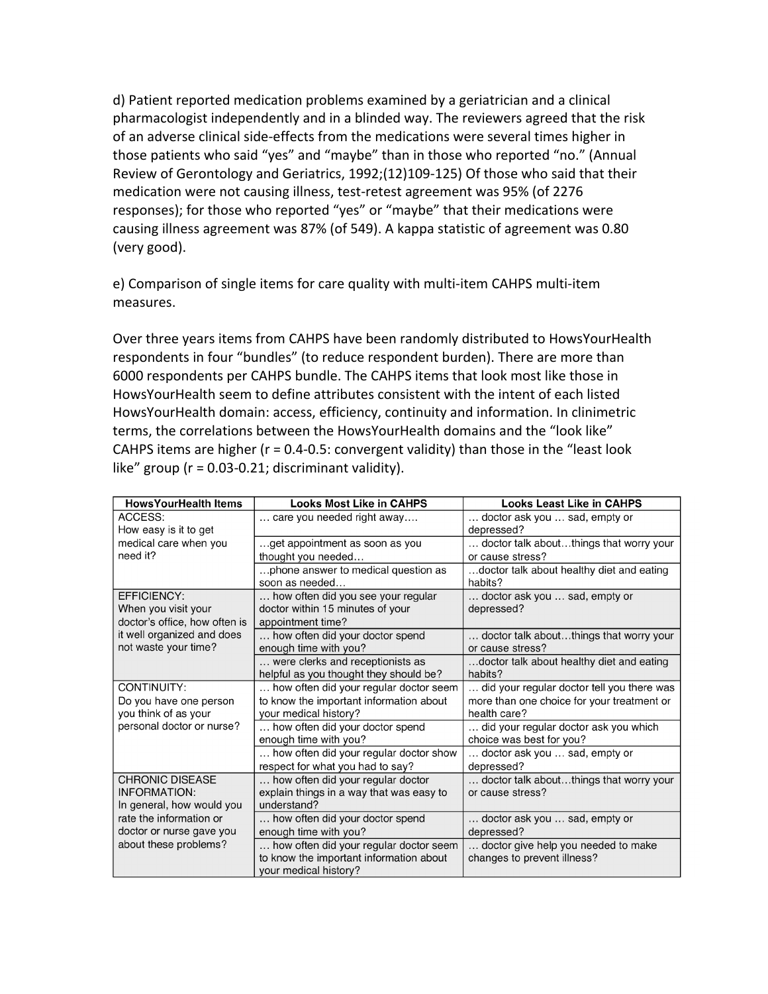d) Patient reported medication problems examined by a geriatrician and a clinical pharmacologist independently and in a blinded way. The reviewers agreed that the risk of an adverse clinical side-effects from the medications were several times higher in those patients who said "yes" and "maybe" than in those who reported "no." (Annual Review of Gerontology and Geriatrics,  $1992$ ;(12)109-125) Of those who said that their medication were not causing illness, test-retest agreement was 95% (of 2276 responses); for those who reported "yes" or "maybe" that their medications were causing illness agreement was 87% (of 549). A kappa statistic of agreement was 0.80 (very good).

e) Comparison of single items for care quality with multi-item CAHPS multi-item measures.

Over three years items from CAHPS have been randomly distributed to HowsYourHealth respondents in four "bundles" (to reduce respondent burden). There are more than 6000 respondents per CAHPS bundle. The CAHPS items that look most like those in HowsYourHealth seem to define attributes consistent with the intent of each listed HowsYourHealth domain: access, efficiency, continuity and information. In clinimetric terms, the correlations between the HowsYourHealth domains and the "look like" CAHPS items are higher ( $r = 0.4$ -0.5: convergent validity) than those in the "least look like" group ( $r = 0.03$ -0.21; discriminant validity).

| <b>HowsYourHealth Items</b>   | <b>Looks Most Like in CAHPS</b>          | <b>Looks Least Like in CAHPS</b>           |
|-------------------------------|------------------------------------------|--------------------------------------------|
| ACCESS:                       | care you needed right away               | doctor ask you  sad, empty or              |
| How easy is it to get         |                                          | depressed?                                 |
| medical care when you         | get appointment as soon as you           | doctor talk aboutthings that worry your    |
| need it?                      | thought you needed                       | or cause stress?                           |
|                               | phone answer to medical question as      | doctor talk about healthy diet and eating  |
|                               | soon as needed                           | habits?                                    |
| EFFICIENCY:                   | how often did you see your regular       | doctor ask you  sad, empty or              |
| When you visit your           | doctor within 15 minutes of your         | depressed?                                 |
| doctor's office, how often is | appointment time?                        |                                            |
| it well organized and does    | how often did your doctor spend          | doctor talk aboutthings that worry your    |
| not waste your time?          | enough time with you?                    | or cause stress?                           |
|                               | were clerks and receptionists as         | doctor talk about healthy diet and eating  |
|                               | helpful as you thought they should be?   | habits?                                    |
| CONTINUITY:                   | how often did your regular doctor seem   | did your regular doctor tell you there was |
| Do you have one person        | to know the important information about  | more than one choice for your treatment or |
| you think of as your          | your medical history?                    | health care?                               |
| personal doctor or nurse?     | how often did your doctor spend          | did your regular doctor ask you which      |
|                               | enough time with you?                    | choice was best for you?                   |
|                               | how often did your regular doctor show   | doctor ask you  sad, empty or              |
|                               | respect for what you had to say?         | depressed?                                 |
| <b>CHRONIC DISEASE</b>        | how often did your regular doctor        | doctor talk aboutthings that worry your    |
| <b>INFORMATION:</b>           | explain things in a way that was easy to | or cause stress?                           |
| In general, how would you     | understand?                              |                                            |
| rate the information or       | how often did your doctor spend          | doctor ask you  sad, empty or              |
| doctor or nurse gave you      | enough time with you?                    | depressed?                                 |
| about these problems?         | how often did your regular doctor seem   | doctor give help you needed to make        |
|                               | to know the important information about  | changes to prevent illness?                |
|                               | your medical history?                    |                                            |